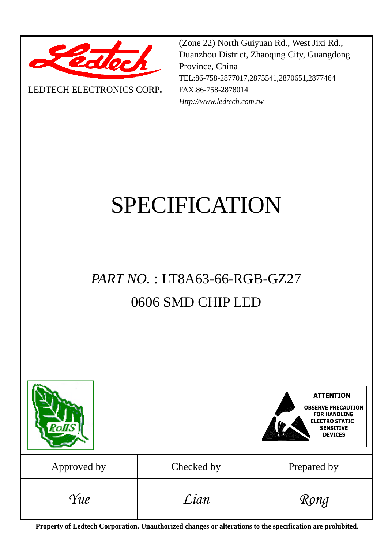

LEDTECH ELECTRONICS CORP**.**

(Zone 22) North Guiyuan Rd., West Jixi Rd., Duanzhou District, Zhaoqing City, Guangdong Province, China TEL:86-758-2877017,2875541,2870651,2877464 FAX:86-758-2878014 *Http://www.ledtech.com.tw*

# SPECIFICATION

# *PART NO.* : LT8A63-66-RGB-GZ27 0606 SMD CHIP LED



**Property of Ledtech Corporation. Unauthorized changes or alterations to the specification are prohibited***.*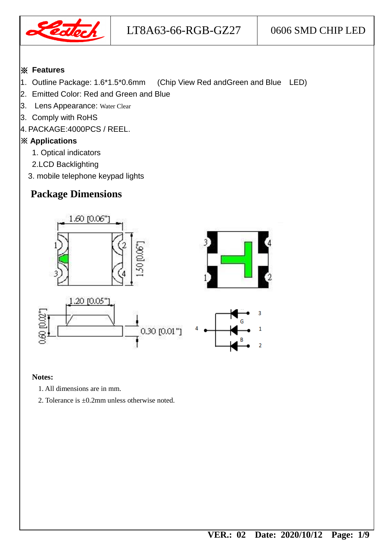

#### ※ **Features**

- 1. Outline Package: 1.6\*1.5\*0.6mm (Chip View Red andGreen and Blue LED)
- 2. Emitted Color: Red and Green and Blue
- 3. Lens Appearance: Water Clear
- 3. Comply with RoHS
- 4. PACKAGE:4000PCS / REEL.

### ※ **Applications**

- 1. Optical indicators
- 2.LCD Backlighting
- 3. mobile telephone keypad lights

# **Package Dimensions**



#### **Notes:**

- 1. All dimensions are in mm.
- 2. Tolerance is ±0.2mm unless otherwise noted.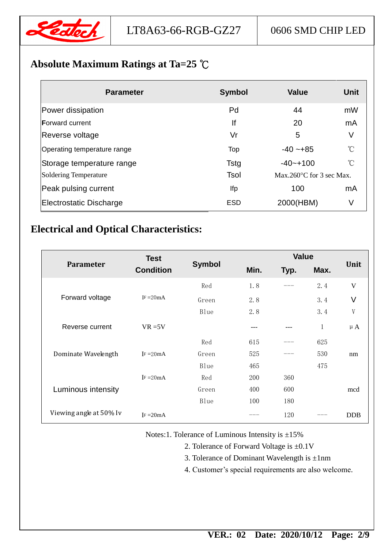

# **Absolute Maximum Ratings at Ta=25** ℃

| <b>Parameter</b>             | <b>Symbol</b> | <b>Value</b>                       | Unit            |
|------------------------------|---------------|------------------------------------|-----------------|
| Power dissipation            | Pd            | 44                                 | mW              |
| <b>Forward current</b>       | lf            | 20                                 | mA              |
| Reverse voltage              | Vr            | 5                                  | V               |
| Operating temperature range  | Top           | $-40 - +85$                        | $\rm ^{\circ}C$ |
| Storage temperature range    | <b>Tstg</b>   | $-40 - +100$                       | $\rm ^{\circ}C$ |
| <b>Soldering Temperature</b> | <b>Tsol</b>   | Max.260 $\degree$ C for 3 sec Max. |                 |
| Peak pulsing current         | lfp           | 100                                | mA              |
| Electrostatic Discharge      | <b>ESD</b>    | 2000(HBM)                          | V               |

# **Electrical and Optical Characteristics:**

| <b>Parameter</b>        | <b>Test</b><br><b>Condition</b> | <b>Symbol</b> | <b>Value</b> |      |             |              |
|-------------------------|---------------------------------|---------------|--------------|------|-------------|--------------|
|                         |                                 |               | Min.         | Typ. | Max.        | Unit         |
| Forward voltage         |                                 | Red           | 1.8          |      | 2.4         | $\mathbf{V}$ |
|                         | $IF = 20mA$                     | Green         | 2.8          |      | 3.4         | V            |
|                         |                                 | Blue          | 2.8          |      | 3.4         | V            |
| Reverse current         | $VR = 5V$                       |               |              |      | $\mathbf 1$ | $\mu A$      |
| Dominate Wavelength     |                                 | Red           | 615          |      | 625         |              |
|                         | $\mathbf{F} = 20\text{mA}$      | Green         | 525          |      | 530         | nm           |
|                         |                                 | Blue          | 465          |      | 475         |              |
| Luminous intensity      | $\text{IF} = 20 \text{mA}$      | Red           | 200          | 360  |             |              |
|                         |                                 | Green         | 400          | 600  |             | mcd          |
|                         |                                 | Blue          | 100          | 180  |             |              |
| Viewing angle at 50% Iv | $IF = 20mA$                     |               |              | 120  |             | <b>DDB</b>   |

Notes:1. Tolerance of Luminous Intensity is ±15%

- 2. Tolerance of Forward Voltage is ±0.1V
- 3. Tolerance of Dominant Wavelength is  $\pm 1$ nm
- 4. Customer's special requirements are also welcome.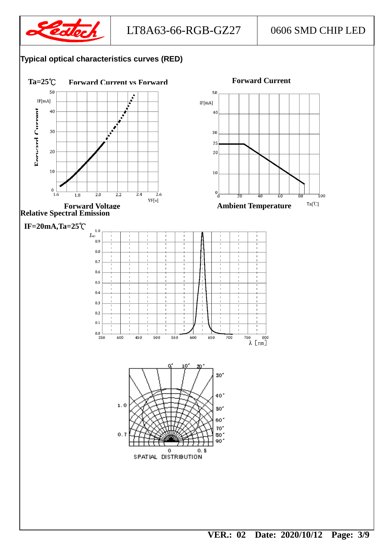

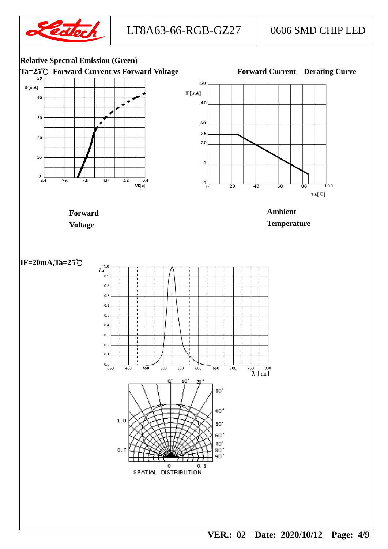

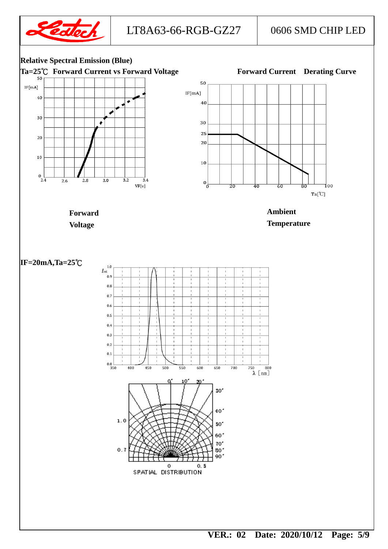

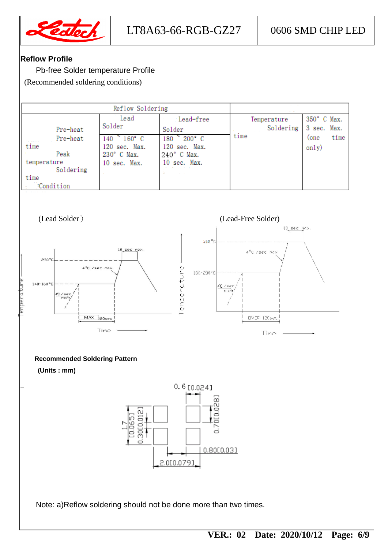

#### **Reflow Profile**

Pb-free Solder temperature Profile

(Recommended soldering conditions)

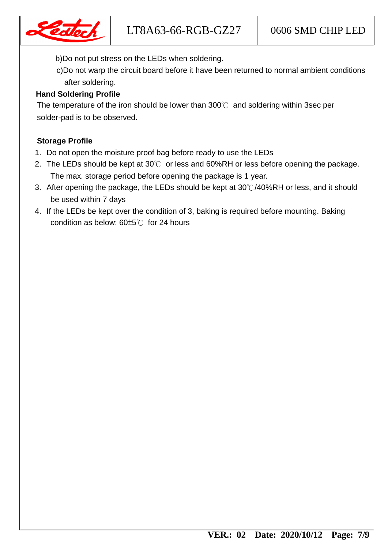

b)Do not put stress on the LEDs when soldering.

 c)Do not warp the circuit board before it have been returned to normal ambient conditions after soldering.

### **Hand Soldering Profile**

 The temperature of the iron should be lower than 300℃ and soldering within 3sec per solder-pad is to be observed.

#### **Storage Profile**

- 1. Do not open the moisture proof bag before ready to use the LEDs
- 2. The LEDs should be kept at  $30^{\circ}$  or less and 60%RH or less before opening the package. The max. storage period before opening the package is 1 year.
- 3. After opening the package, the LEDs should be kept at 30℃/40%RH or less, and it should be used within 7 days
- 4. If the LEDs be kept over the condition of 3, baking is required before mounting. Baking condition as below: 60±5℃ for 24 hours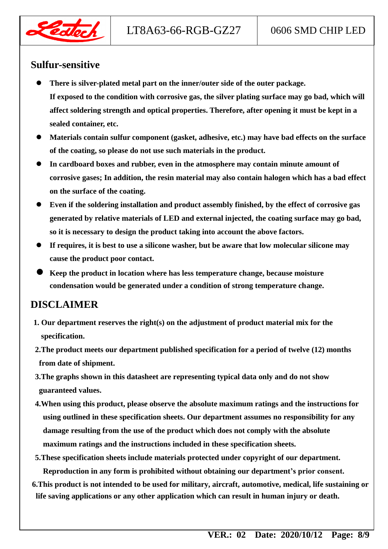

## **Sulfur-sensitive**

- **There is silver-plated metal part on the inner/outer side of the outer package. If exposed to the condition with corrosive gas, the silver plating surface may go bad, which will affect soldering strength and optical properties. Therefore, after opening it must be kept in a sealed container, etc.**
- **Materials contain sulfur component (gasket, adhesive, etc.) may have bad effects on the surface of the coating, so please do not use such materials in the product.**
- **In cardboard boxes and rubber, even in the atmosphere may contain minute amount of corrosive gases; In addition, the resin material may also contain halogen which has a bad effect on the surface of the coating.**
- **Even if the soldering installation and product assembly finished, by the effect of corrosive gas generated by relative materials of LED and external injected, the coating surface may go bad, so it is necessary to design the product taking into account the above factors.**
- **If requires, it is best to use a silicone washer, but be aware that low molecular silicone may cause the product poor contact.**
- **Keep the product in location where has less temperature change, because moisture condensation would be generated under a condition of strong temperature change.**

# **DISCLAIMER**

- **1. Our department reserves the right(s) on the adjustment of product material mix for the specification.**
- **2.The product meets our department published specification for a period of twelve (12) months from date of shipment.**
- **3.The graphs shown in this datasheet are representing typical data only and do not show guaranteed values.**
- **4.When using this product, please observe the absolute maximum ratings and the instructions for using outlined in these specification sheets. Our department assumes no responsibility for any damage resulting from the use of the product which does not comply with the absolute maximum ratings and the instructions included in these specification sheets.**
- **5.These specification sheets include materials protected under copyright of our department.**

**Reproduction in any form is prohibited without obtaining our department's prior consent.**

**6.This product is not intended to be used for military, aircraft, automotive, medical, life sustaining or life saving applications or any other application which can result in human injury or death.**